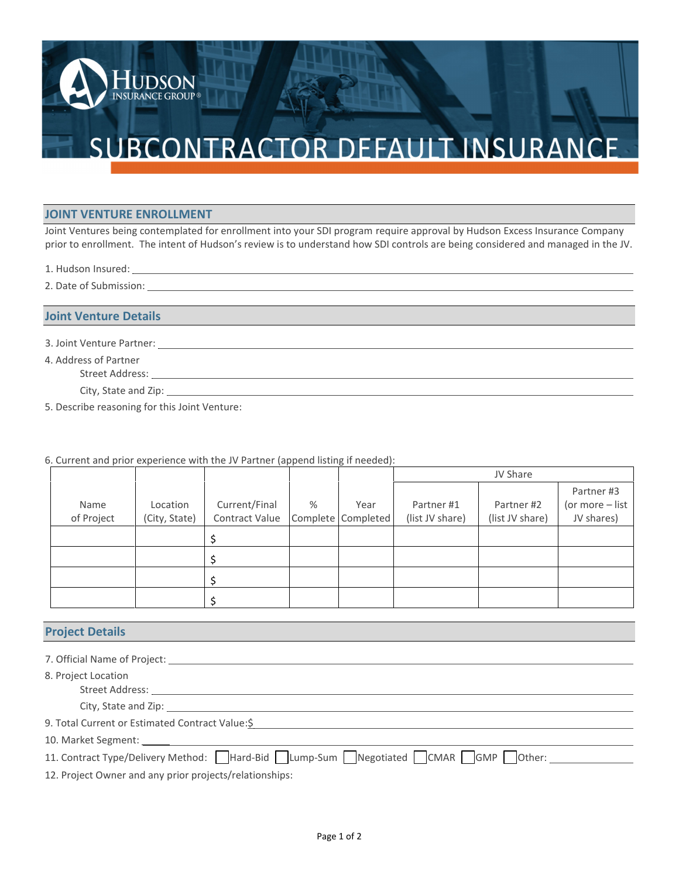# SUBCONTRACTOR DEFAULT INSURANCE

### **JOINT VENTURE ENROLLMENT**

**JDSON** INSURANCE GROUP®

Joint Ventures being contemplated for enrollment into your SDI program require approval by Hudson Excess Insurance Company prior to enrollment. The intent of Hudson's review is to understand how SDI controls are being considered and managed in the JV.

- 1. Hudson Insured:
- 2. Date of Submission:

## **Joint Venture Details**

- 3. Joint Venture Partner:
- 4. Address of Partner
	- Street Address:
	- City, State and Zip:
- 5. Describe reasoning for this Joint Venture:

## 6. Current and prior experience with the JV Partner (append listing if needed):

|                    |                           |                                 |   |                            | JV Share                      |                               |                                             |
|--------------------|---------------------------|---------------------------------|---|----------------------------|-------------------------------|-------------------------------|---------------------------------------------|
| Name<br>of Project | Location<br>(City, State) | Current/Final<br>Contract Value | % | Year<br>Complete Completed | Partner #1<br>(list JV share) | Partner #2<br>(list JV share) | Partner #3<br>(or more - list<br>JV shares) |
|                    |                           |                                 |   |                            |                               |                               |                                             |
|                    |                           |                                 |   |                            |                               |                               |                                             |
|                    |                           |                                 |   |                            |                               |                               |                                             |
|                    |                           |                                 |   |                            |                               |                               |                                             |

## **Project Details**

| <b>Project Details</b>                                                          |  |  |  |  |  |
|---------------------------------------------------------------------------------|--|--|--|--|--|
|                                                                                 |  |  |  |  |  |
| 8. Project Location                                                             |  |  |  |  |  |
|                                                                                 |  |  |  |  |  |
| 9. Total Current or Estimated Contract Value:\$                                 |  |  |  |  |  |
|                                                                                 |  |  |  |  |  |
| 11. Contract Type/Delivery Method: Hard-Bid Lump-Sum Negotiated CMAR GMP Other: |  |  |  |  |  |
| 12. Project Owner and any prior projects/relationships:                         |  |  |  |  |  |